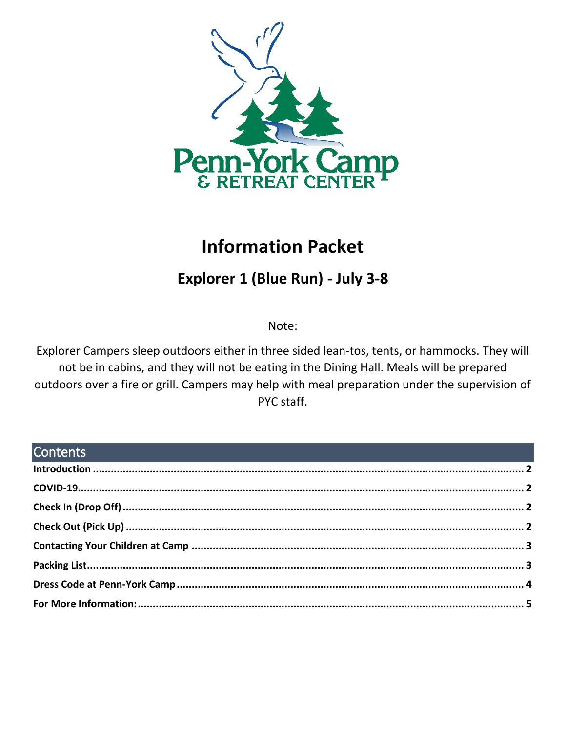

# **Information Packet**

## Explorer 1 (Blue Run) - July 3-8

Note:

Explorer Campers sleep outdoors either in three sided lean-tos, tents, or hammocks. They will not be in cabins, and they will not be eating in the Dining Hall. Meals will be prepared outdoors over a fire or grill. Campers may help with meal preparation under the supervision of PYC staff.

| <b>Contents Contents Contents Contents Contents and Contents and Contents and Contents and Contents and Contents and Contents and Contents and Contents and Contents and Contents and Contents and Contents and Contents</b> |  |
|------------------------------------------------------------------------------------------------------------------------------------------------------------------------------------------------------------------------------|--|
|                                                                                                                                                                                                                              |  |
|                                                                                                                                                                                                                              |  |
|                                                                                                                                                                                                                              |  |
|                                                                                                                                                                                                                              |  |
|                                                                                                                                                                                                                              |  |
|                                                                                                                                                                                                                              |  |
|                                                                                                                                                                                                                              |  |
|                                                                                                                                                                                                                              |  |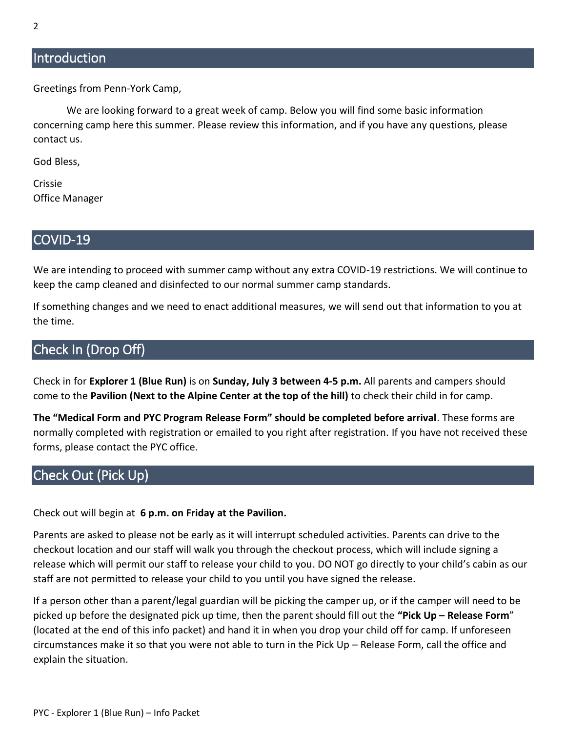## <span id="page-1-0"></span>Introduction

Greetings from Penn-York Camp,

We are looking forward to a great week of camp. Below you will find some basic information concerning camp here this summer. Please review this information, and if you have any questions, please contact us.

God Bless,

Crissie Office Manager

#### <span id="page-1-1"></span>COVID-19

We are intending to proceed with summer camp without any extra COVID-19 restrictions. We will continue to keep the camp cleaned and disinfected to our normal summer camp standards.

If something changes and we need to enact additional measures, we will send out that information to you at the time.

## <span id="page-1-2"></span>Check In (Drop Off)

Check in for **Explorer 1 (Blue Run)** is on **Sunday, July 3 between 4-5 p.m.** All parents and campers should come to the **Pavilion (Next to the Alpine Center at the top of the hill)** to check their child in for camp.

**The "Medical Form and PYC Program Release Form" should be completed before arrival**. These forms are normally completed with registration or emailed to you right after registration. If you have not received these forms, please contact the PYC office.

## <span id="page-1-3"></span>Check Out (Pick Up)

Check out will begin at **6 p.m. on Friday at the Pavilion.**

Parents are asked to please not be early as it will interrupt scheduled activities. Parents can drive to the checkout location and our staff will walk you through the checkout process, which will include signing a release which will permit our staff to release your child to you. DO NOT go directly to your child's cabin as our staff are not permitted to release your child to you until you have signed the release.

If a person other than a parent/legal guardian will be picking the camper up, or if the camper will need to be picked up before the designated pick up time, then the parent should fill out the **"Pick Up – Release Form**" (located at the end of this info packet) and hand it in when you drop your child off for camp. If unforeseen circumstances make it so that you were not able to turn in the Pick Up – Release Form, call the office and explain the situation.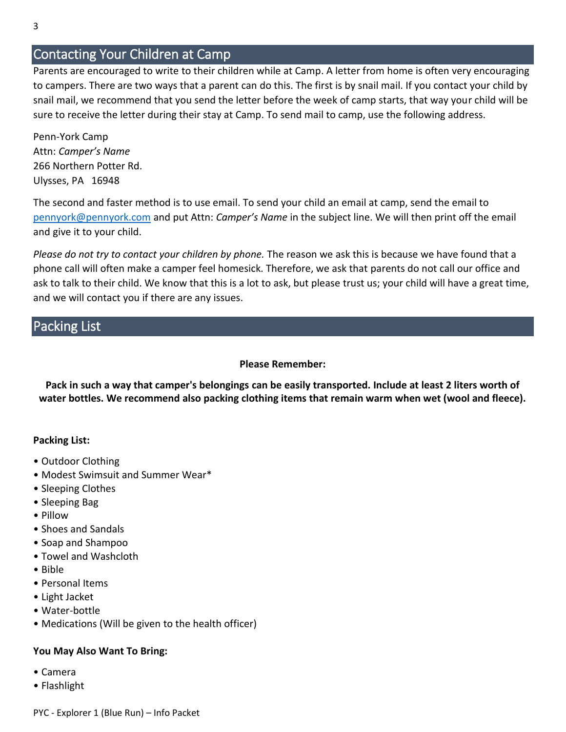## <span id="page-2-0"></span>Contacting Your Children at Camp

Parents are encouraged to write to their children while at Camp. A letter from home is often very encouraging to campers. There are two ways that a parent can do this. The first is by snail mail. If you contact your child by snail mail, we recommend that you send the letter before the week of camp starts, that way your child will be sure to receive the letter during their stay at Camp. To send mail to camp, use the following address.

Penn-York Camp Attn: *Camper's Name* 266 Northern Potter Rd. Ulysses, PA 16948

The second and faster method is to use email. To send your child an email at camp, send the email to [pennyork@pennyork.com](mailto:pennyork@pennyork.com) and put Attn: *Camper's Name* in the subject line. We will then print off the email and give it to your child.

*Please do not try to contact your children by phone.* The reason we ask this is because we have found that a phone call will often make a camper feel homesick. Therefore, we ask that parents do not call our office and ask to talk to their child. We know that this is a lot to ask, but please trust us; your child will have a great time, and we will contact you if there are any issues.

## <span id="page-2-1"></span>Packing List

#### **Please Remember:**

**Pack in such a way that camper's belongings can be easily transported. Include at least 2 liters worth of water bottles. We recommend also packing clothing items that remain warm when wet (wool and fleece).**

#### **Packing List:**

- Outdoor Clothing
- Modest Swimsuit and Summer Wear\*
- Sleeping Clothes
- Sleeping Bag
- Pillow
- Shoes and Sandals
- Soap and Shampoo
- Towel and Washcloth
- Bible
- Personal Items
- Light Jacket
- Water-bottle
- Medications (Will be given to the health officer)

#### **You May Also Want To Bring:**

- Camera
- Flashlight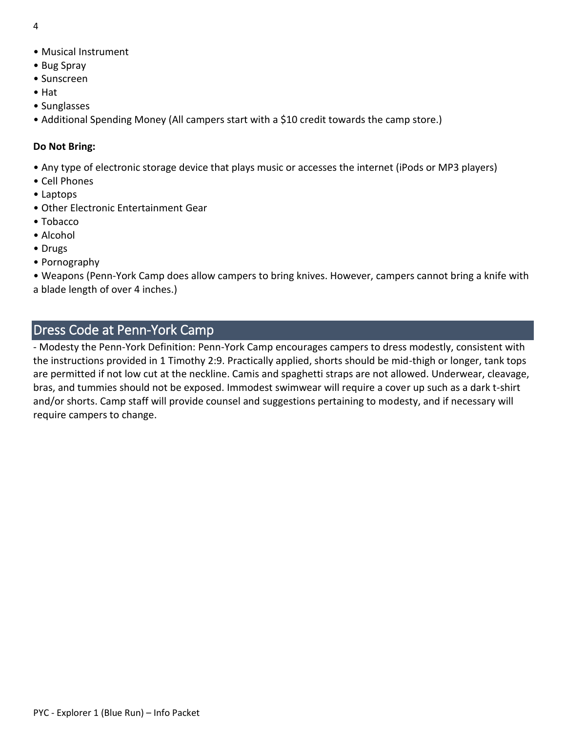- 4
- Musical Instrument
- Bug Spray
- Sunscreen
- Hat
- Sunglasses
- Additional Spending Money (All campers start with a \$10 credit towards the camp store.)

#### **Do Not Bring:**

- Any type of electronic storage device that plays music or accesses the internet (iPods or MP3 players)
- Cell Phones
- Laptops
- Other Electronic Entertainment Gear
- Tobacco
- Alcohol
- Drugs
- Pornography
- Weapons (Penn-York Camp does allow campers to bring knives. However, campers cannot bring a knife with a blade length of over 4 inches.)

## <span id="page-3-0"></span>Dress Code at Penn-York Camp

- Modesty the Penn-York Definition: Penn-York Camp encourages campers to dress modestly, consistent with the instructions provided in 1 Timothy 2:9. Practically applied, shorts should be mid-thigh or longer, tank tops are permitted if not low cut at the neckline. Camis and spaghetti straps are not allowed. Underwear, cleavage, bras, and tummies should not be exposed. Immodest swimwear will require a cover up such as a dark t-shirt and/or shorts. Camp staff will provide counsel and suggestions pertaining to modesty, and if necessary will require campers to change.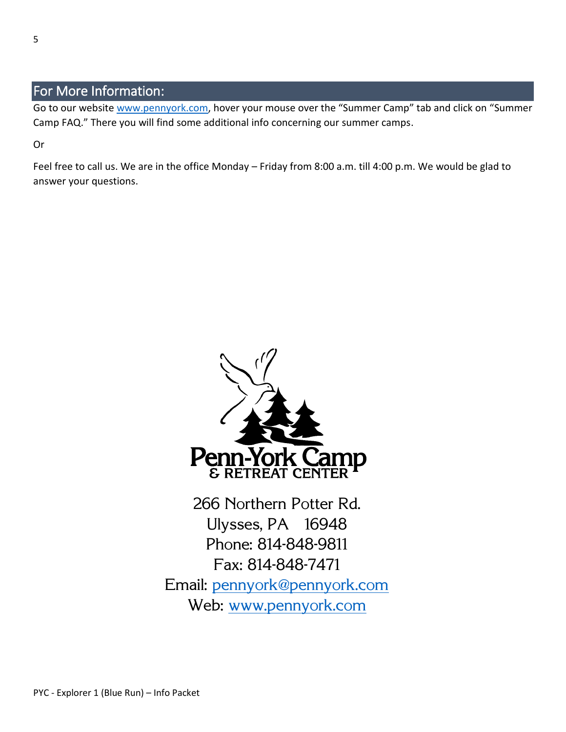## <span id="page-4-0"></span>For More Information:

Go to our website [www.pennyork.com,](http://www.pennyork.com/) hover your mouse over the "Summer Camp" tab and click on "Summer Camp FAQ." There you will find some additional info concerning our summer camps.

Or

Feel free to call us. We are in the office Monday – Friday from 8:00 a.m. till 4:00 p.m. We would be glad to answer your questions.